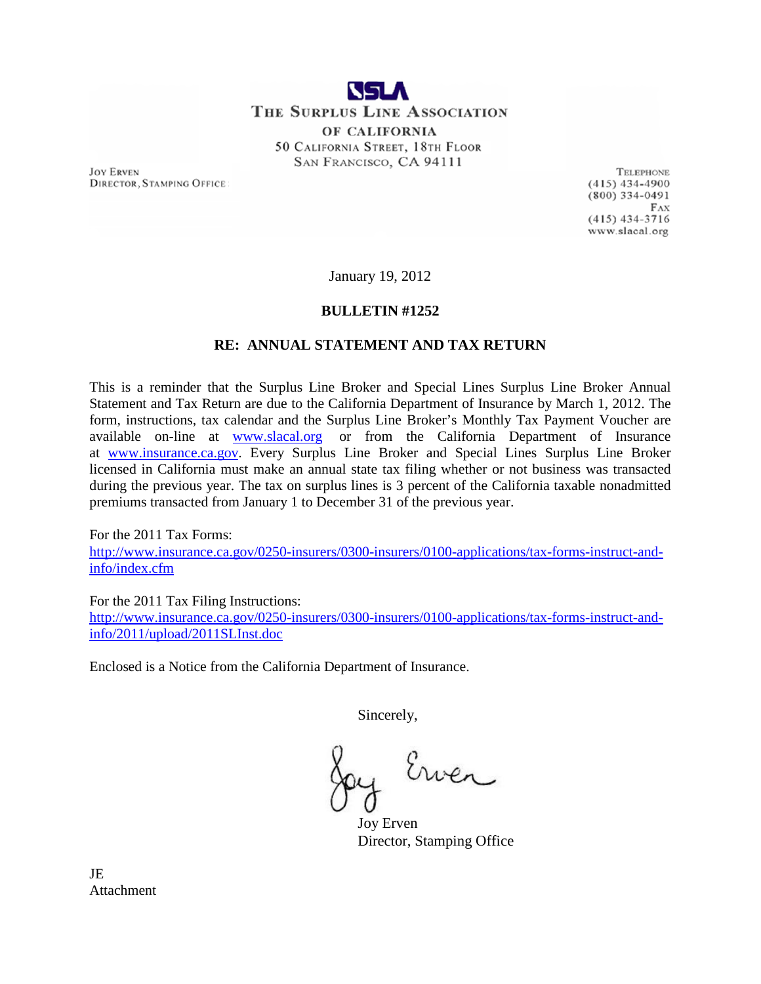

OF CALIFORNIA 50 CALIFORNIA STREET, 18TH FLOOR SAN FRANCISCO, CA 94111

**JOY ERVEN DIRECTOR, STAMPING OFFICE** 

**TELEPHONE**  $(415)$  434-4900  $(800)$  334-0491  $FAX$  $(415)$  434-3716 www.slacal.org

January 19, 2012

## **BULLETIN #1252**

## **RE: ANNUAL STATEMENT AND TAX RETURN**

This is a reminder that the Surplus Line Broker and Special Lines Surplus Line Broker Annual Statement and Tax Return are due to the California Department of Insurance by March 1, 2012. The form, instructions, tax calendar and the Surplus Line Broker's Monthly Tax Payment Voucher are available on-line at [www.slacal.org](http://www.slacal.org/) or from the California Department of Insurance at www.insurance.ca.gov. Every Surplus Line Broker and Special Lines Surplus Line Broker licensed in California must make an annual state tax filing whether or not business was transacted during the previous year. The tax on surplus lines is 3 percent of the California taxable nonadmitted premiums transacted from January 1 to December 31 of the previous year.

For the 2011 Tax Forms:

[http://www.insurance.ca.gov/0250-insurers/0300-insurers/0100-applications/tax-forms-instruct-and](http://www.insurance.ca.gov/0250-insurers/0300-insurers/0100-applications/tax-forms-instruct-and-info/index.cfm)[info/index.cfm](http://www.insurance.ca.gov/0250-insurers/0300-insurers/0100-applications/tax-forms-instruct-and-info/index.cfm)

For the 2011 Tax Filing Instructions:

[http://www.insurance.ca.gov/0250-insurers/0300-insurers/0100-applications/tax-forms-instruct-and](http://www.insurance.ca.gov/0250-insurers/0300-insurers/0100-applications/tax-forms-instruct-and-info/2011/upload/2011SLInst.doc)[info/2011/upload/2011SLInst.doc](http://www.insurance.ca.gov/0250-insurers/0300-insurers/0100-applications/tax-forms-instruct-and-info/2011/upload/2011SLInst.doc)

Enclosed is a Notice from the California Department of Insurance.

Sincerely,

Ewen

Joy Erven Director, Stamping Office

JE **Attachment**